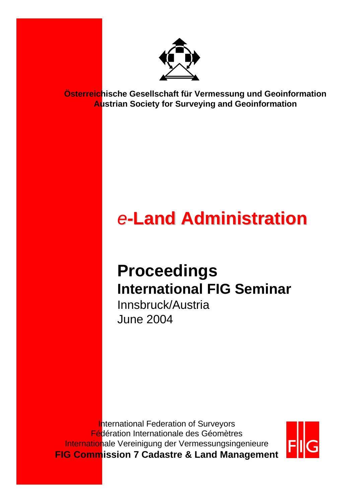

**Österreichische Gesellschaft für Vermessung und Geoinformation Austrian Society for Surveying and Geoinformation**

# *e-***Land Administration Land Administration**

### **Proceedings International FIG Seminar**

Innsbruck/Austria June 2004

**International Federation of Surveyors** Fédération Internationale des Géomètres Internationale Vereinigung der Vermessungsingenieure **FIG Commission 7 Cadastre & Land Management**

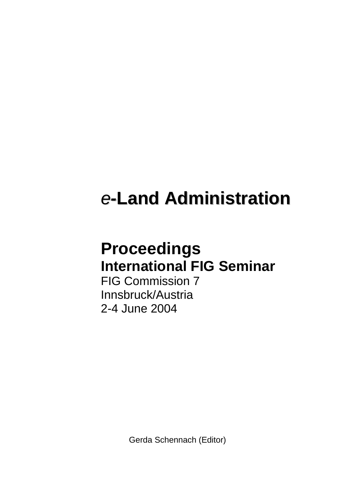## *e-***Land Administration**

#### **Proceedings International FIG Seminar**

FIG Commission 7 Innsbruck/Austria 2-4 June 2004

Gerda Schennach (Editor)